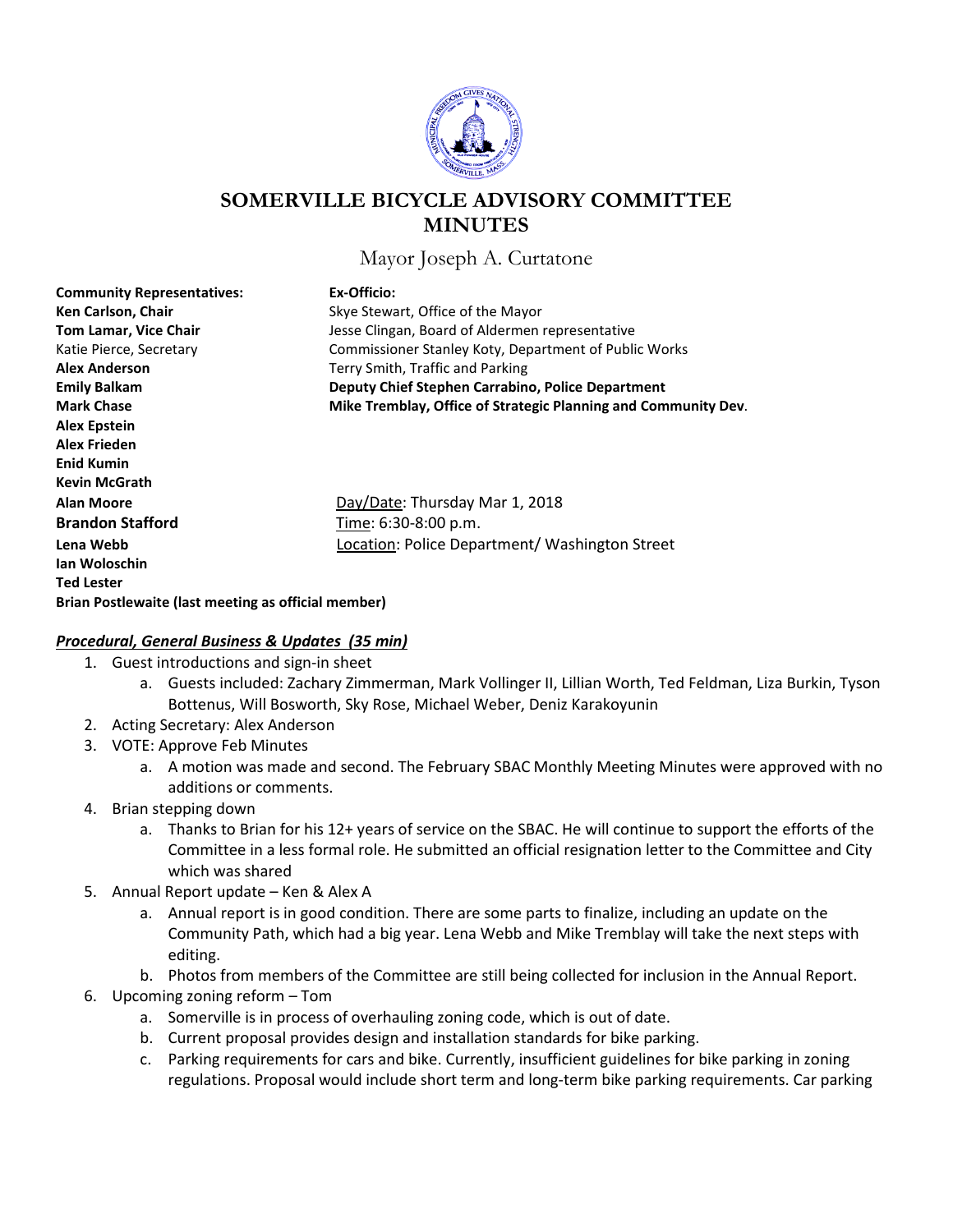

# **SOMERVILLE BICYCLE ADVISORY COMMITTEE MINUTES**

Mayor Joseph A. Curtatone

| <b>Community Representatives:</b>                   | Ex-Officio:                                                    |
|-----------------------------------------------------|----------------------------------------------------------------|
| Ken Carlson, Chair                                  | Skye Stewart, Office of the Mayor                              |
| <b>Tom Lamar, Vice Chair</b>                        | Jesse Clingan, Board of Aldermen representative                |
| Katie Pierce, Secretary                             | Commissioner Stanley Koty, Department of Public Works          |
| <b>Alex Anderson</b>                                | Terry Smith, Traffic and Parking                               |
| <b>Emily Balkam</b>                                 | Deputy Chief Stephen Carrabino, Police Department              |
| <b>Mark Chase</b>                                   | Mike Tremblay, Office of Strategic Planning and Community Dev. |
| Alex Epstein                                        |                                                                |
| Alex Frieden                                        |                                                                |
| <b>Enid Kumin</b>                                   |                                                                |
| <b>Kevin McGrath</b>                                |                                                                |
| Alan Moore                                          | Day/Date: Thursday Mar 1, 2018                                 |
| <b>Brandon Stafford</b>                             | Time: 6:30-8:00 p.m.                                           |
| Lena Webb                                           | Location: Police Department/ Washington Street                 |
| lan Woloschin                                       |                                                                |
| <b>Ted Lester</b>                                   |                                                                |
| Brian Postlewaite (last meeting as official member) |                                                                |

### *Procedural, General Business & Updates (35 min)*

- 1. Guest introductions and sign-in sheet
	- a. Guests included: Zachary Zimmerman, Mark Vollinger II, Lillian Worth, Ted Feldman, Liza Burkin, Tyson Bottenus, Will Bosworth, Sky Rose, Michael Weber, Deniz Karakoyunin
- 2. Acting Secretary: Alex Anderson
- 3. VOTE: Approve Feb Minutes
	- a. A motion was made and second. The February SBAC Monthly Meeting Minutes were approved with no additions or comments.
- 4. Brian stepping down
	- a. Thanks to Brian for his 12+ years of service on the SBAC. He will continue to support the efforts of the Committee in a less formal role. He submitted an official resignation letter to the Committee and City which was shared
- 5. Annual Report update Ken & Alex A
	- a. Annual report is in good condition. There are some parts to finalize, including an update on the Community Path, which had a big year. Lena Webb and Mike Tremblay will take the next steps with editing.
	- b. Photos from members of the Committee are still being collected for inclusion in the Annual Report.
- 6. Upcoming zoning reform Tom
	- a. Somerville is in process of overhauling zoning code, which is out of date.
	- b. Current proposal provides design and installation standards for bike parking.
	- c. Parking requirements for cars and bike. Currently, insufficient guidelines for bike parking in zoning regulations. Proposal would include short term and long-term bike parking requirements. Car parking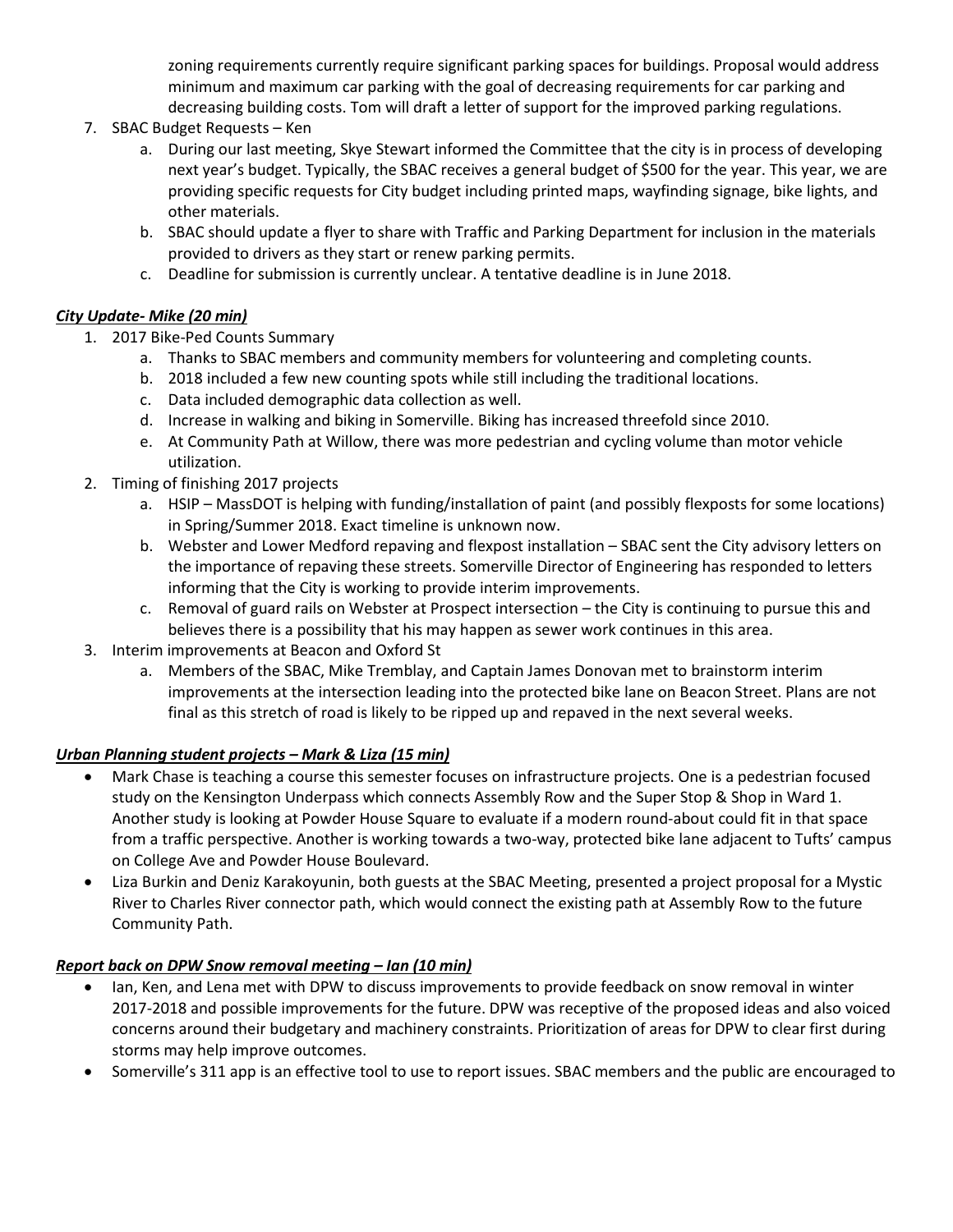zoning requirements currently require significant parking spaces for buildings. Proposal would address minimum and maximum car parking with the goal of decreasing requirements for car parking and decreasing building costs. Tom will draft a letter of support for the improved parking regulations.

- 7. SBAC Budget Requests Ken
	- a. During our last meeting, Skye Stewart informed the Committee that the city is in process of developing next year's budget. Typically, the SBAC receives a general budget of \$500 for the year. This year, we are providing specific requests for City budget including printed maps, wayfinding signage, bike lights, and other materials.
	- b. SBAC should update a flyer to share with Traffic and Parking Department for inclusion in the materials provided to drivers as they start or renew parking permits.
	- c. Deadline for submission is currently unclear. A tentative deadline is in June 2018.

## *City Update- Mike (20 min)*

- 1. 2017 Bike-Ped Counts Summary
	- a. Thanks to SBAC members and community members for volunteering and completing counts.
	- b. 2018 included a few new counting spots while still including the traditional locations.
	- c. Data included demographic data collection as well.
	- d. Increase in walking and biking in Somerville. Biking has increased threefold since 2010.
	- e. At Community Path at Willow, there was more pedestrian and cycling volume than motor vehicle utilization.
- 2. Timing of finishing 2017 projects
	- a. HSIP MassDOT is helping with funding/installation of paint (and possibly flexposts for some locations) in Spring/Summer 2018. Exact timeline is unknown now.
	- b. Webster and Lower Medford repaving and flexpost installation SBAC sent the City advisory letters on the importance of repaving these streets. Somerville Director of Engineering has responded to letters informing that the City is working to provide interim improvements.
	- c. Removal of guard rails on Webster at Prospect intersection the City is continuing to pursue this and believes there is a possibility that his may happen as sewer work continues in this area.
- 3. Interim improvements at Beacon and Oxford St
	- a. Members of the SBAC, Mike Tremblay, and Captain James Donovan met to brainstorm interim improvements at the intersection leading into the protected bike lane on Beacon Street. Plans are not final as this stretch of road is likely to be ripped up and repaved in the next several weeks.

#### *Urban Planning student projects – Mark & Liza (15 min)*

- Mark Chase is teaching a course this semester focuses on infrastructure projects. One is a pedestrian focused study on the Kensington Underpass which connects Assembly Row and the Super Stop & Shop in Ward 1. Another study is looking at Powder House Square to evaluate if a modern round-about could fit in that space from a traffic perspective. Another is working towards a two-way, protected bike lane adjacent to Tufts' campus on College Ave and Powder House Boulevard.
- Liza Burkin and Deniz Karakoyunin, both guests at the SBAC Meeting, presented a project proposal for a Mystic River to Charles River connector path, which would connect the existing path at Assembly Row to the future Community Path.

## *Report back on DPW Snow removal meeting – Ian (10 min)*

- Ian, Ken, and Lena met with DPW to discuss improvements to provide feedback on snow removal in winter 2017-2018 and possible improvements for the future. DPW was receptive of the proposed ideas and also voiced concerns around their budgetary and machinery constraints. Prioritization of areas for DPW to clear first during storms may help improve outcomes.
- Somerville's 311 app is an effective tool to use to report issues. SBAC members and the public are encouraged to